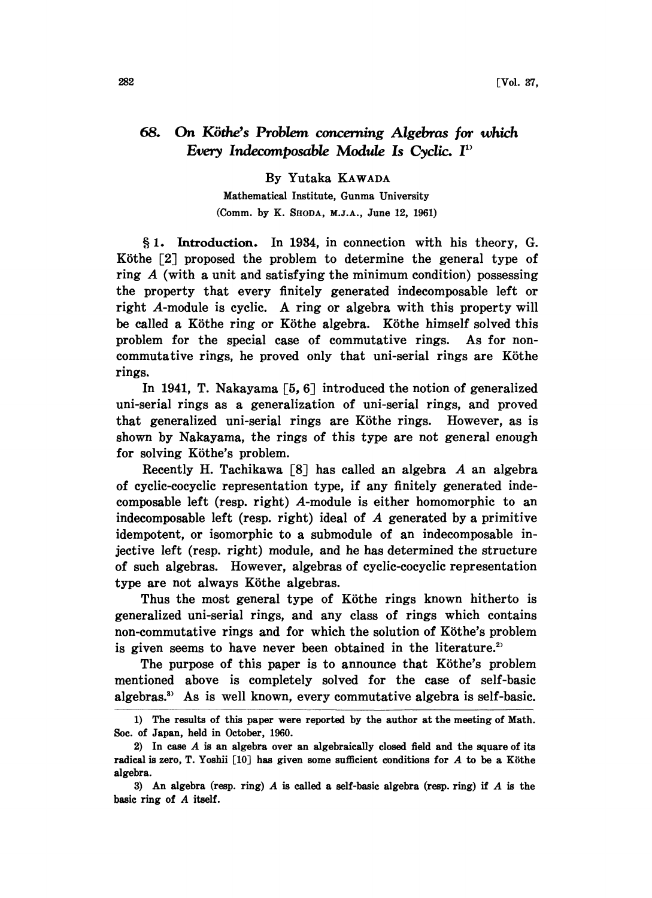## 68. On Köthe's Problem concerning Algebras for which Every Indecomposable Module Is Cyclic. F'

## By Yutaka KAWADA

Mathematical Institute, Gunma University (Comm. by K. SHODA, M.J.A., June 12, 1961)

1. Introduction. In 1984, in connection with his theory, G. Köthe  $\lceil 2 \rceil$  proposed the problem to determine the general type of ring  $\vec{A}$  (with a unit and satisfying the minimum condition) possessing the property that every finitely generated indecomposable left or right A-module is cyclic. A ring or algebra with this property will be called a Köthe ring or Köthe algebra. Köthe himself solved this problem for the special case of commutative rings. As for noncommutative rings, he proved only that uni-serial rings are Köthe rings.

In 1941, T. Nakayama [5, 6] introduced the notion of generalized uni-serial rings as a generalization of uni-serial rings, and proved that generalized uni-serial rings are Köthe rings. However, as is shown by Nakayama, the rings of this type are not general enough for solving Köthe's problem.

Recently H. Tachikawa [8] has called an algebra A an algebra of cyclic-cocyclic representation type, if any finitely generated indecomposable left (resp. right) A-module is either homomorphic to an indecomposable left (resp. right) ideal of  $A$  generated by a primitive idempotent, or isomorphic to a submodule of an indecomposable injective left (resp. right) module, and he has determined the structure of such algebras. However, algebras of cyclic-cocyclic representation type are not always Köthe algebras.

Thus the most general type of Köthe rings known hitherto is generalized uni-serial rings, and any class of rings which contains non-commutative rings and for which the solution of Köthe's problem is given seems to have never been obtained in the literature.<sup>2)</sup>

The purpose of this paper is to announce that Köthe's problem mentioned above is completely solved for the case of self-basic algebras.<sup>3</sup> As is well known, every commutative algebra is self-basic.

<sup>1)</sup> The results of this paper were reported by the author at the meeting of Math. Soc. of Japan, held in October, 1960.

<sup>2)</sup> In case A is an algebra over an algebraically closed field and the square of its radical is zero, T. Yoshii  $[10]$  has given some sufficient conditions for A to be a Köthe algebra.

<sup>3)</sup> An algebra (resp. ring)  $A$  is called a self-basic algebra (resp. ring) if  $A$  is the basic ring of A itself.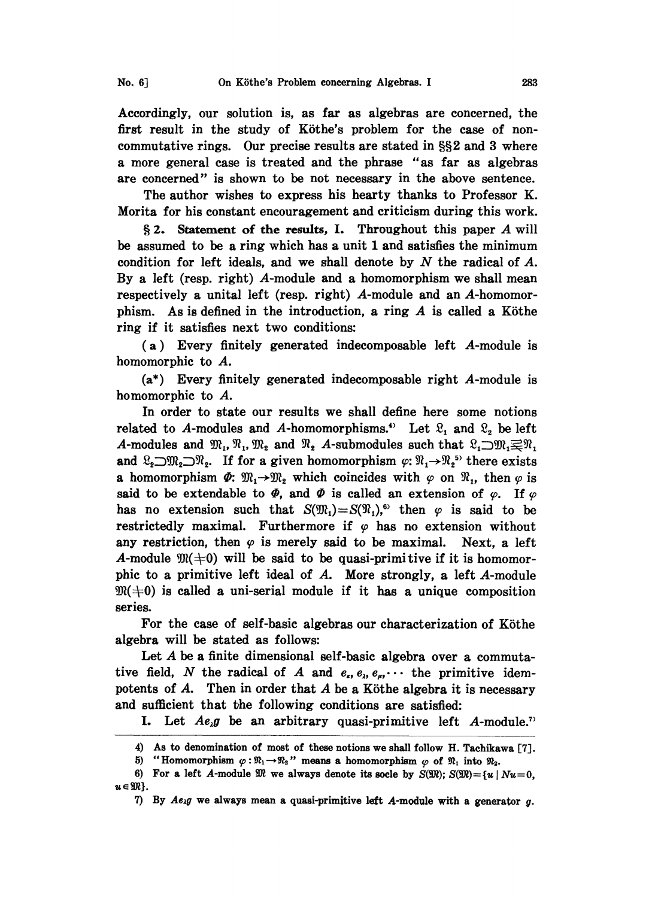Accordingly, our solution is, as far as algebras are concerned, the first result in the study of Köthe's problem for the case of noncommutative rings. Our precise results are stated in  $\S$  $\Omega$  and 3 where a more general case is treated and the phrase "as far as algebras are concerned" is shown to be not necessary in the above sentence.

The author wishes to express his hearty thanks to Professor K. Morita for his constant encouragement and criticism during this work.

§ 2. Statement of the results, I. Throughout this paper  $A$  will be assumed to be a ring which has a unit 1 and satisfies the minimum condition for left ideals, and we shall denote by  $N$  the radical of  $A$ . By a left (resp. right) A-module and a homomorphism we shall mean respectively a unital left (resp. right) A-module and an A-homomorphism. As is defined in the introduction, a ring  $A$  is called a Köthe ring if it satisfies next two conditions:

(a) Every finitely generated indecomposable left A-module is homomorphic to A.

(a\*) Every finitely generated indecomposable right A-module is homomorphic to A.

In order to state our results we shall define here some notions related to A-modules and A-homomorphisms.<sup>4</sup> Let  $\mathfrak{L}_1$  and  $\mathfrak{L}_2$  be left<br>A-modules and  $\mathfrak{M}_1$ ,  $\mathfrak{M}_1$ ,  $\mathfrak{M}_2$  and  $\mathfrak{N}_2$  A-submodules such that  $\mathfrak{L}_1 \supset \mathfrak{M}_1 \supsetneq \mathfrak{N}_1$ <br>and  $\mathfrak{L}_2 \supset$ A-modules and  $\mathfrak{M}_1$ ,  $\mathfrak{M}_2$  and  $\mathfrak{N}_2$  A-submodules such that  $\mathfrak{L}_1 \supset \mathfrak{M}_1 \supset \mathfrak{M}_1$ <br>and  $\mathfrak{L}_2 \supset \mathfrak{M}_2 \supset \mathfrak{N}_2$ . If for a given homomorphism  $\varphi: \mathfrak{N}_1 \to \mathfrak{N}_2$ <sup>55</sup> there exists a homomorphism  $\Phi$ :  $\mathfrak{M}_1 \rightarrow \mathfrak{M}_2$  which coincides with  $\varphi$  on  $\mathfrak{N}_1$ , then  $\varphi$  is said to be extendable to  $\Phi$ , and  $\Phi$  is called an extension of  $\varphi$ . If  $\varphi$ has no extension such that  $S(\mathfrak{M}_1)=S(\mathfrak{N}_1)$ ,<sup>6</sup> then  $\varphi$  is said to be restrictedly maximal. Furthermore if  $\varphi$  has no extension without any restriction, then  $\varphi$  is merely said to be maximal. Next, a left A-module  $\mathfrak{M}(+0)$  will be said to be quasi-primitive if it is homomorphic to a primitive left ideal of A. More strongly, a left A-module  $\mathfrak{M}(0)$  is called a uni-serial module if it has a unique composition series.

For the case of self-basic algebras our characterization of Köthe algebra will be stated as follows:

Let A be a finite dimensional self-basic algebra over a commutative field, N the radical of A and  $e_n$ ,  $e_n$ ,  $e_n$ ,  $\cdots$  the primitive idempotents of  $A$ . Then in order that  $A$  be a Köthe algebra it is necessary and sufficient that the following conditions are satisfied:

I. Let  $Ae_{\lambda}g$  be an arbitrary quasi-primitive left A-module.<sup>7</sup>

<sup>4)</sup> As to denomination of most of these notions we shall follow H. Tachikawa [7].

<sup>5) &</sup>quot;Homomorphism  $\varphi:\mathbb{R}_1\to\mathbb{R}_2$ " means a homomorphism  $\varphi$  of  $\mathbb{R}_1$  into  $\mathbb{R}_2$ .

<sup>6)</sup> For a left A-module  $\mathfrak{M}$  we always denote its socle by  $S(\mathfrak{M}); S(\mathfrak{M}) = \{u \mid Nu = 0,$  $u \in \mathfrak{M}$ .

<sup>7)</sup> By  $Ae_{\lambda}g$  we always mean a quasi-primitive left A-module with a generator g.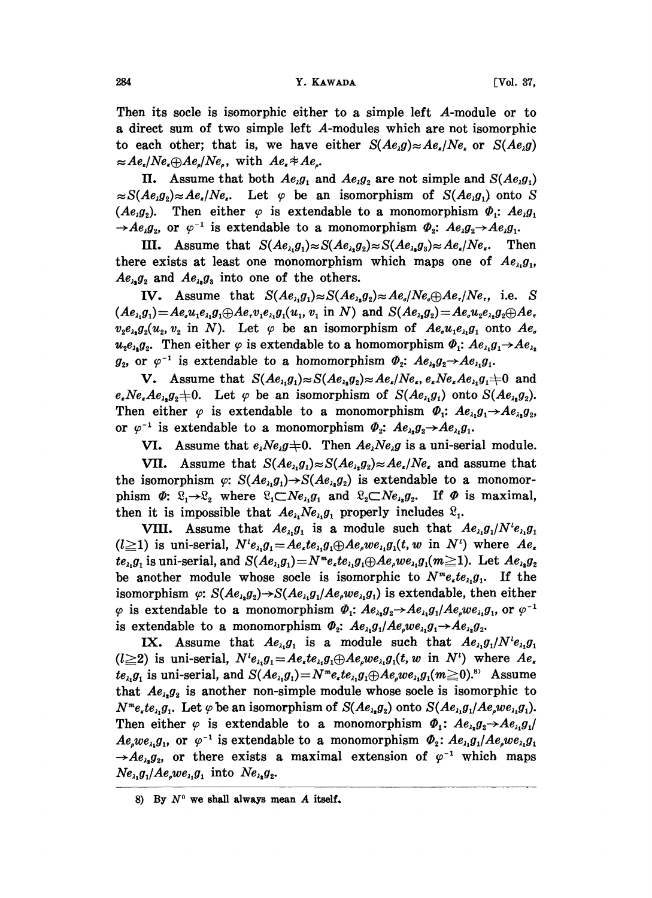284 **Y. KAWADA V. KAWADA V. VOL. 37,** 

Then its socle is isomorphic either to a simple left A-module or to a direct sum of two simple left A-modules which are not isomorphic to each other; that is, we have either  $S(Ae,g) \approx Ae_e/Ne_e$  or  $S(Ae,g)$  $\approx Ae_{\epsilon}/Ne_{\epsilon} \oplus Ae_{\epsilon}/Ne_{\epsilon}$ , with  $Ae_{\epsilon} \neq Ae_{\epsilon}$ .

II. Assume that both  $Ae_{\lambda}g_1$  and  $Ae_{\lambda}g_2$  are not simple and  $S(Ae_{\lambda}g_1)$  $\approx S(Ae_1g_2)\approx Ae_1/Ne_1$ . Let  $\varphi$  be an isomorphism of  $S(Ae_1g_1)$  onto S  $(Ae_ig_2)$ . Then either  $\varphi$  is extendable to a monomorphism  $\Phi_1$ :  $Ae_ig_1$ 

 $\rightarrow$  Ae<sub>i</sub>g<sub>2</sub>, or  $\varphi^{-1}$  is extendable to a monomorphism  $\Phi_2$ : Ae<sub>i</sub>g<sub>2</sub> $\rightarrow$  Ae<sub>i</sub>g<sub>1</sub>.<br>III. Assume that  $S(Ae_{i_1}g_1) \approx S(Ae_{i_2}g_2) \approx S(Ae_{i_3}g_3) \approx Ae_{i}/Ne_i$ . There exists at least one monomorphism which maps one of Ae III. Assume that  $S(Ae_i,g_1)\approx S(Ae_i,g_2)\approx S(Ae_i,g_3)\approx Ae_i/Ne_i$ . Then there exists at least one monomorphism which maps one of  $Ae_{i}g_{i}$ ,  $Ae_{\lambda_1}g_2$  and  $Ae_{\lambda_2}g_3$  into one of the others.

IV. Assume that  $S(Ae_i,g_i) \approx S(Ae_i,g_i) \approx Ae_i/Ne_i\oplus Ae_i/Ne_i$ , i.e. S  $(Ae_{\lambda},g_1)=Ae_{\lambda}u_1e_{\lambda}g_1\oplus Ae_{\lambda}v_1e_{\lambda}g_1(u_1, v_1 \text{ in } N)$  and  $S(Ae_{\lambda},g_2)=Ae_{\lambda}u_2e_{\lambda}g_2\oplus Ae_{\lambda}$  $v_2e_{\lambda_2}g_2(u_2, v_2 \text{ in } N)$ . Let  $\varphi$  be an isomorphism of  $Ae_{\mu}u_1e_{\lambda_1}g_1$  onto  $Ae_{\mu}$  $u_{3}e_{\lambda_{1}}g_{2}$ . Then either  $\varphi$  is extendable to a homomorphism  $\Phi_{1}: Ae_{\lambda_{1}}g_{1} \rightarrow Ae_{\lambda_{2}}$ .  $g_2$ , or  $\varphi^{-1}$  is extendable to a homomorphism  $\Phi_2$ :  $Ae_{\lambda_2}g_2 \rightarrow Ae_{\lambda_1}g_1$ .

 $\varphi^{-1}$  is extendable to a homomorphism  $\Phi_2$ :  $Ae_{\lambda_1}g_2 \rightarrow Ae_{\lambda_1}g_1$ .<br>
Assume that  $S(Ae_{\lambda_1}g_1) \approx S(Ae_{\lambda_1}g_2) \approx Ae_{\lambda_1}Ne_{\lambda_1}e_{\lambda_1}Re_{\lambda_1}g_1$ .<br>  $e_{\lambda_1}g_2 \neq 0$ . Let  $\varphi$  be an isomorphism of  $S(Ae_{\lambda_1}g_1)$ V. Assume that  $S(Ae_{\lambda},g_1)\approx S(Ae_{\lambda},g_2)\approx Ae_{\lambda}/Ne_{\lambda}$ ,  $e_{\lambda}Ne_{\lambda}Ae_{\lambda},g_1\neq 0$  and  $e_{\epsilon}Ne_{\epsilon}Ae_{\lambda_1}g_2\neq 0$ . Let  $\varphi$  be an isomorphism of  $S(Ae_{\lambda_1}g_1)$  onto  $S(Ae_{\lambda_2}g_2)$ . Then either  $\varphi$  is extendable to a monomorphism  $\Phi_1$ :  $Ae_{\lambda_1}g_1 \rightarrow Ae_{\lambda_2}g_2$ , or  $\varphi^{-1}$  is extendable to a monomorphism  $\Phi_2$ :  $Ae_{\lambda_1}g_2 \rightarrow Ae_{\lambda_1}g_1$ .

VI. Assume that  $e_i Ne_i g \neq 0$ . Then  $Ae_i Ne_i g$  is a uni-serial module.

or  $\varphi^{-1}$  is extendable to a monomorphism  $\Phi_2$ :  $Ae_{\lambda_1}g_2 \rightarrow Ae_{\lambda_1}g_1$ .<br>
VI. Assume that  $e_{\lambda}Ne_{\lambda}g \neq 0$ . Then  $Ae_{\lambda}Ne_{\lambda}g$  is a uni-serial module.<br>
VII. Assume that  $S(Ae_{\lambda_1}g_1) \approx S(Ae_{\lambda_2}g_2) \approx Ae_{\lambda}/Ne_{\lambda}$  VII. Assume that  $S(Ae_{\lambda_1}g_1) \approx S(Ae_{\lambda_2}g_2) \approx Ae_{\lambda}/Ne_{\lambda}$  and assume that phism  $\Phi: \mathcal{L}_1 \rightarrow \mathcal{L}_2$  where  $\mathcal{L}_1 \subset Ne_{\lambda_1}g_1$  and  $\mathcal{L}_2 \subset Ne_{\lambda_2}g_2$ . If  $\Phi$  is maximal, then it is impossible that  $Ae_{\lambda_1}Ne_{\lambda_1}g_1$  properly includes  $\mathfrak{L}_1$ .

VIII. Assume that  $Ae_{i_1}g_1$  is a module such that  $Ae_{i_1}g_1/N^i e_{i_1}g_1$  $(l \ge 1)$  is uni-serial,  $N' e_{\lambda_1} g_1 = A e_{\lambda} t e_{\lambda_1} g_1 \oplus A e_{\lambda} w e_{\lambda_1} g_1(t, w \text{ in } N')$  where  $A e_{\lambda}$  $te_i, g_1$  is uni-serial, and  $S(Ae_i, g_1) = N^m e_i t e_i, g_1 \oplus A e_i w e_i, g_1 (m \geq 1)$ . Let  $Ae_i, g_2$ be another module whose socle is isomorphic to  $N^m e_{\lambda} t e_{\lambda} g_1$ . If the isomorphism  $\varphi$ :  $S(Ae_{\lambda_1}g_1) \rightarrow S(Ae_{\lambda_1}g_1)$  is extendable, then either  $\varphi$  is extendable to a monomorphism  $\Phi_1: Ae_{\lambda_1}g_2 \rightarrow Ae_{\lambda_1}g_1/Ae_{\rho}we_{\lambda_1}g_1$ , or  $\varphi^{-1}$ is extendable to a monomorphism  $\Phi_2$ :  $Ae_{\lambda_1}g_1/Ae_{\mu}we_{\lambda_1}g_1 \rightarrow Ae_{\lambda_2}g_2$ .

that  $Ae_{\lambda_1}g_2$  is another non-simple module whose socle is isomorphic to 1. Assume that  $Ae_{\lambda_1}g_1$  is a module such that  $Ae_{\lambda_1}g_1/\lambda e_{\lambda_1}g_1$ <br>
( $l \geq 2$ ) is uni-serial,  $N^t e_{\lambda_1}g_1 = Ae_{\lambda}te_{\lambda_1}g_1 \oplus Ae_{\rho}we_{\lambda_1}g_1(t, w \text{ in } N^t)$  where  $Ae_{\rho}$  $te_{\lambda_1}g_1$  is uni-serial, and  $S(Ae_{\lambda_1}g_1)=N^me_{\iota}te_{\lambda_1}g_1\oplus Ae_{\iota}we_{\lambda_1}g_1(m\geq 0)^{.8}$  Assume IX. Assume that  $Ae_{\lambda_1}g_1$  is a module such that  $Ae_{\lambda_1}g_1/N^{\dagger}e_{\lambda_1}g_1$  $N^m e_i t e_{\lambda_i} g_1$ . Let  $\varphi$  be an isomorphism of  $S(Ae_{\lambda_i}g_2)$  onto  $S(Ae_{\lambda_i}g_1/Ae_{\mu}we_{\lambda_i}g_1)$ . Then either  $\varphi$  is extendable to a monomorphism  $\Phi_1$ :<br>  $Ae_{\varphi}we_{\lambda_1}g_1$ , or  $\varphi^{-1}$  is extendable to a monomorphism  $\Phi_2$ : Then either  $\varphi$  is extendable to a monomorphism  $\Phi_1$ :  $Ae_{\lambda_2}g_2 \rightarrow Ae_{\lambda_1}g_1$  $\varphi^{-1}$  is extendable to a monomorphism  $\Phi_2$ :  $Ae_{\lambda_1}g_1/Ae_{\mu}we_{\lambda_1}g_1$ <br>there exists a maximal extension of  $\varphi^{-1}$  which maps  $g_1$  into  $Ne_{\lambda_2}g_2$ .<br>we shall always mean A itself.  $Ae_{\lambda_1}g_2$ , or there exists a maximal extension of  $\varphi^{-1}$  which maps  $Ne_{\lambda_1}g_1/Ae_{\rho}we_{\lambda_1}g_1$  into  $Ne_{\lambda_2}g_2$ .<br>
8) By  $N^0$  we shall always mean A itself.  $Ne_{\lambda_1}g_1/Me_{\lambda_2}we_{\lambda_1}g_1$  into  $Ne_{\lambda_2}g_2$ .

<sup>8)</sup> By  $N^0$  we shall always mean A itself.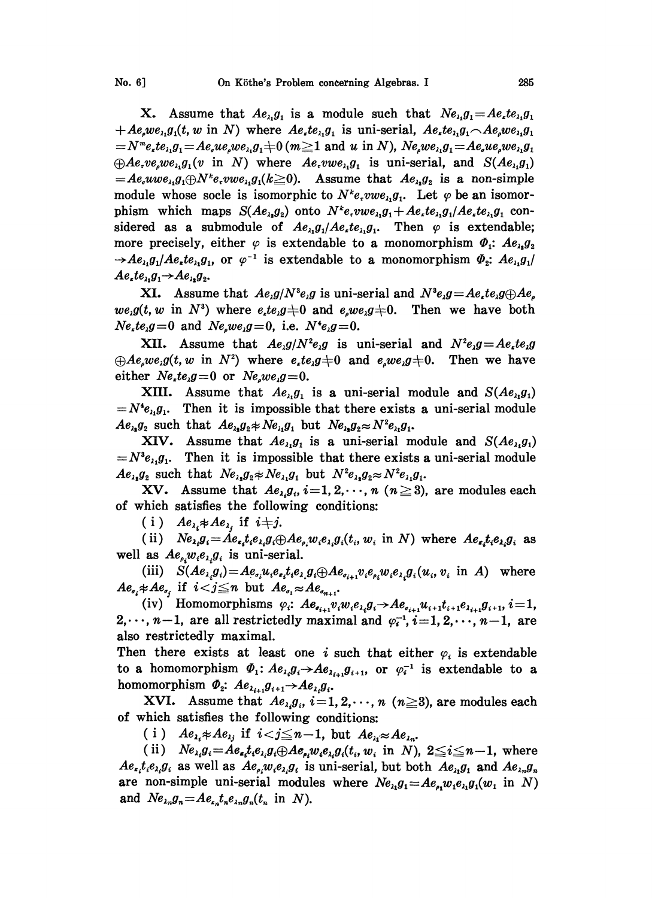**X.** Assume that  $Ae_{\lambda_1}g_1$  is a module such that  $Ne_{\lambda_1}g_1 = Ae_{\lambda_1}te_{\lambda_1}g_1$  $+Ae_{\mu}we_{\lambda_1}g_1(t, w \text{ in } N)$  where  $Ae_{\mu}te_{\lambda_1}g_1$  is uni-serial,  $Ae_{\mu}te_{\lambda_1}g_1 \sim Ae_{\mu}we_{\lambda_1}g_1$  $N_{\ell}^{\infty} = N^{\ell}e_{\ell}te_{\ell}g_{\ell} = Ae_{\ell}ue_{\ell}we_{\ell}g_{\ell} + 0$  ( $m \ge 1$  and u in N), Ne,we,  $g_1 = Ae_{\ell}ue_{\ell}we_{\ell}g_{\ell}$  $\bigoplus$  Ae, ve, we,  $g_1(v \text{ in } N)$  where  $A$ e, vwe,  $g_1$  is uni-serial, and  $S(Ae_{\lambda_1}g_1)$  $A = Ae_{i}uwe_{i,1}a_{1} \oplus N^{k}e_{i}vwe_{i,1}a_{1}$  ( $k \ge 0$ ). Assume that  $Ae_{i,1}a_{2}$  is a non-simple module whose socle is isomorphic to  $N^k e, vwe_{\lambda_1}g_1$ . Let  $\varphi$  be an isomorphism which maps  $S(Ae_{i},g_{i})$  onto  $N^{k}e_{i}$  *owe<sub>i</sub>*,  $g_{1} + Ae_{i}te_{i}$ ,  $g_{1}/Ae_{i}te_{i}$ ,  $g_{1}$  considered as a submodule of  $Ae_{\lambda_1}g_1/Ae_{\lambda_2}te_{\lambda_3}g_1$ . Then  $\varphi$  is extendable; more precisely, either  $\varphi$  is extendable to a monomorphism  $\Phi_1$ :  $Ae_{\lambda_2}g_2$  $\rightarrow$  Ae<sub>i</sub>,g<sub>1</sub>/Ae<sub>i</sub>,te<sub>i</sub>,g<sub>1</sub>, or  $\varphi^{-1}$  is extendable to a monomorphism  $\Phi_2$ : Ae<sub>i</sub>,g<sub>1</sub>/  $Ae_{\lambda}te_{\lambda_1}g_1 \rightarrow Ae_{\lambda_2}g_2.$ 

 $Ae_{i1}g_1/Ae_{i}te_{i1}g_1$ , or  $\varphi^{-1}$  is extendable to a monomorphism  $\varPhi_2$ :  $Ae_{i1}g_1/Ae_{i1}e_{i1}g_1 \rightarrow Ae_{i1}g_2$ .<br> **XI.** Assume that  $Ae_{i}g/N^s e_{i}g$  is uni-serial and  $N^s e_{i}g = Ae_{i}te_{i}g \oplus Ae_{i}$ <br>  $we_{i}g(t, w \text{ in } N^s)$  wh **XI.** Assume that  $Ae_i g/N^3e_i g$  is uni-serial and  $N^3e_i g = Ae_i te_i g \bigoplus Ae_i$  $Ne_{\lambda}te_{\lambda}g=0$  and  $Ne_{\lambda}we_{\lambda}g=0$ , i.e.  $N^*e_{\lambda}g=0$ .

XII. Assume that  $Ae_{\lambda}g/N^{2}e_{\lambda}g$  is uni-serial and  $N^{2}e_{\lambda}g=Ae_{\lambda}te_{\lambda}g$  $\bigoplus$  Ae<sub>a</sub>we<sub>i</sub>g(t, w in N<sup>2</sup>) where e<sub>x</sub>te<sub>i</sub>g  $\neq$ 0 and e<sub>a</sub>we<sub>i</sub>g  $\neq$ 0. Then we have either  $Ne_{\lambda}te_{\lambda}g=0$  or  $Ne_{\lambda}we_{\lambda}g=0$ .

XIII. Assume that  $Ae_{\lambda_1}g_1$  is a uni-serial module and  $S(Ae_{\lambda_1}g_1)$  $=N^{4}e_{\lambda}g_{1}$ . Then it is impossible that there exists a uni-serial module  $Ae_{\lambda_1}g_2$  such that  $Ae_{\lambda_2}g_2 \neq Ne_{\lambda_1}g_1$  but  $Ne_{\lambda_2}g_2 \approx N^2e_{\lambda_1}g_1$ .

XIV. Assume that  $Ae_{\lambda_1}g_1$  is a uni-serial module and  $S(Ae_{\lambda_1}g_1)$  $=N^{3}e_{\lambda_{1}}g_{1}$ . Then it is impossible that there exists a uni-serial module  $Ae_{\lambda_1}g_2$  such that  $Ne_{\lambda_2}g_2 \neq Ne_{\lambda_1}g_1$  but  $N^2e_{\lambda_2}g_2 \approx N^2e_{\lambda_1}g_1$ .

XV. Assume that  $Ae_{i,j}$ ,  $i=1, 2, \dots, n$  ( $n \geq 3$ ), are modules each of which satisfies the following conditions:

(i)  $Ae_{\lambda} * Ae_{\lambda}$  if  $i+j$ .

(ii)  $Ne_{\lambda_i}g_i = Ae_{\lambda_i}te_{\lambda_i}g_i \oplus Ae_{\rho_i}we_{\lambda_i}g_i(t_i, w_i \text{ in } N)$  where  $Ae_{\lambda_i}te_{\lambda_i}g_i$  as well as  $Ae_{\rho}w_{i}e_{\lambda}g_{i}$  is uni-serial.

(iii)  $S(Ae_{\lambda_i}g_i)=Ae_{\sigma_i}u_ie_{\sigma_i}te_{\lambda_i}g_i\oplus Ae_{\sigma_{i+1}}v_ie_{\sigma_i}w_ie_{\lambda_i}g_i(u_i, v_i \text{ in } A)$  where  $Ae_{\sigma_i} \neq Ae_{\sigma_i}$  if  $i < j \leq n$  but  $Ae_{\sigma_i} \approx Ae_{\sigma_{n+1}}$ .

(iv) Homomorphisms  $\varphi_i$ :  $Ae_{i_{i+1}}v_iw_ie_{i_i}g_i \rightarrow Ae_{i_{i+1}}u_{i+1}t_{i+1}e_{i_{i+1}}g_{i+1}, i=1$ ,  $2,\dots, n-1$ , are all restrictedly maximal and  $\varphi_i^{-1}, i=1, 2,\dots, n-1$ , are also restrictedly maximal.

Then there exists at least one i such that either  $\varphi_i$  is extendable to a homomorphism  $\Phi_1$ :  $Ae_{\lambda_i}g_i \rightarrow Ae_{\lambda_i}$ <br>homomorphism  $\Phi_2$ :  $Ae_{\lambda_{i+1}}g_{i+1} \rightarrow Ae_{\lambda_i}g_i$ . to a homomorphism  $\Phi_1: Ae_{\lambda_i}g_i \rightarrow Ae_{\lambda_{i+1}}g_{i+1}$ , or  $\varphi_i^{-1}$  is extendable to a

**XVI.** Assume that  $Ae_{\lambda_i}g_{\lambda_i}$ ,  $i=1, 2, \dots, n$  ( $n\geq 3$ ), are modules each of which satisfies the following conditions:

(i)  $Ae_{\lambda_i} \neq Ae_{\lambda_j}$  if  $i < j \leq n-1$ , but  $Ae_{\lambda_i} \approx Ae_{\lambda_i}$ .

(ii)  $Ne_{\lambda_i}g_i = Ae_{\epsilon_i}t_ie_{\lambda_i}g_i \oplus Ae_{\epsilon_i}w_ie_{\lambda_i}g_i(t_i,w_i)$  in N),  $2 \leq i \leq n-1$ , where  $Ae_{i_1}t_{i_2}e_{i_3}g_i$  as well as  $Ae_{i_1}w_{i_2}g_i$  is uni-serial, but both  $Ae_{i_1}g_1$  and  $Ae_{i_2}g_n$ are non-simple uni-serial modules where  $Ne_{\lambda_1}g_1 = Ae_{\rho_1}w_1e_{\lambda_1}g_1(w_1 \text{ in } N)$ and  $Ne_{\lambda n}g_n = Ae_{\lambda n}t_ne_{\lambda n}g_n(t_n)$  in N).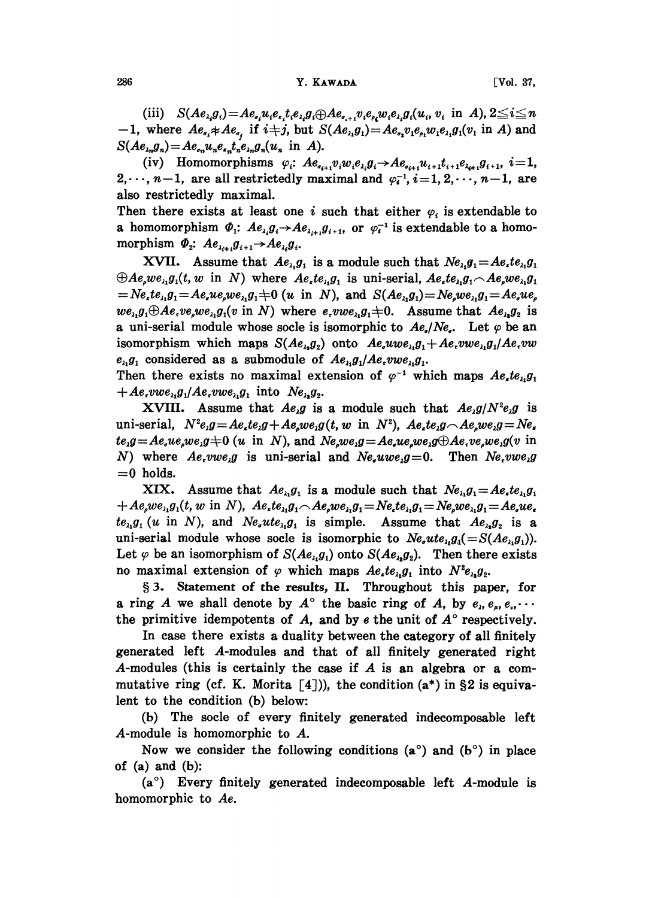(iii)  $S(Ae_{i,j}g_i) = Ae_{i,j}u_ie_{i,j}e_{i,j}g_i \oplus Ae_{i,j}v_ie_{i,j}w_ie_{i,j}g_i(u_i, v_i \text{ in } A), 2 \leq i \leq n$ -1, where  $Ae_{i} * Ae_{i}$  if  $i+j$ , but  $S(Ae_{i}g_{i}) = Ae_{i}v_{i}e_{i}w_{i}e_{i}g_{i}(v_{i} \text{ in } A)$  and  $S(Ae_{\lambda n}g_n)=Ae_{\sigma n}u_ne_{\mu n}t_ne_{\lambda n}g_n(u_n)$  in A).

(iv) Homomorphisms  $\varphi_i$ :  $Ae_{\epsilon_{i+1}}v_iw_ie_{\epsilon_i}g_i \rightarrow Ae_{\epsilon_{i+1}}u_{i+1}t_{i+1}e_{\epsilon_{i+1}}g_{i+1}, i=1, 2, \cdots, n-1$ , are all restrictedly maximal and  $\varphi_i^{-1}$ ,  $i=1, 2, \cdots, n-1$ , are also restrictedly maximal.

Then there exists at least one i such that either  $\varphi_i$  is extendable to a homomorphism  $\Phi_i$ :  $Ae_{\lambda_i}g_i \rightarrow Ae_{\lambda_{i+1}}g_{i+1}$ , or  $\varphi_i^{-1}$  is extendable to a homomorphism  $\Phi_2$ :  $Ae_{\lambda_{i+1}}g_{i+1} \rightarrow Ae_{\lambda_i}g_i$ .

XVII. Assume that  $Ae_{\lambda_1}g_1$  is a module such that  $Ne_{\lambda_1}g_1 = Ae_{\lambda_1}te_{\lambda_1}g_1$  $\oplus Ae_{\mu}we_{\lambda_1}g_1(t, w \text{ in } N)$  where  $Ae_{\lambda_1}e_{\lambda_1}g_1$  is uni-serial,  $Ae_{\lambda_1}te_{\lambda_1}g_1 \sim Ae_{\mu}we_{\lambda_1}g_1$  $N_e = Ne_{\lambda}te_{\lambda_1}g_1 = Ae_{\lambda}ue_{\lambda_2}we_{\lambda_1}g_1 + 0$  (u in N), and  $S(Ae_{\lambda_1}g_1) = Ne_{\lambda}we_{\lambda_1}g_1 = Ae_{\lambda}ue_{\lambda_2}$  $we_{\lambda_1}g_1 \oplus Ae,ve_{\lambda_2}we_{\lambda_1}g_1(v \text{ in } N)$  where  $e, vwe_{\lambda_1}g_1 \neq 0$ . Assume that  $Ae_{\lambda_2}g_2$  is a uni-serial module whose socle is isomorphic to  $Ae_i/Ne_i$ . Let  $\varphi$  be an isomorphism which maps  $S(Ae_{\lambda_2}g_2)$  onto  $Ae_{\lambda_3}w e_{\lambda_1}g_1+Ae_{\lambda_2}w e_{\lambda_3}g_1/Ae_{\lambda_3}w$  $e_{\lambda_1}g_1$  considered as a submodule of  $Ae_{\lambda_1}g_1Ae$ ,  $vw e_{\lambda_1}g_1$ .

Then there exists no maximal extension of  $\varphi^{-1}$  which maps  $Ae_{i}te_{i}g_{1}$  $+Ae$ -vwe<sub> $\lambda_1$ </sub> $g_1/Ae$ -vwe $\lambda_2 g_1$  into  $Ne_{\lambda_2}g_2$ .

 $\varphi^{-1}$  which maps  $Ae_{\iota}te_{\iota_1}g_1$ <br>such that  $Ae_{\iota}g/N^2e_{\iota}g$  is<br><sup>2</sup>),  $Ae_{\iota}te_{\iota}g \frown Ae_{\iota}we_{\iota}g = Ne_{\iota}$ XVIII. Assume that  $Ae_{\lambda}g$  is a module such that  $Ae_{\lambda}g/N^{2}e_{\lambda}g$  is uni-serial,  $N^{2}e_{\mu}g = Ae_{\mu}te_{\mu}g + Ae_{\mu}we_{\mu}g(t, w \text{ in } N^{2}), Ae_{\mu}te_{\mu}g - Ae_{\mu}we_{\mu}g = Ne_{\mu}$  $te_1g = Ae_1we_1we_1g \neq 0$  (u in N), and  $Ne_1we_1g = Ae_1we_1we_1g \oplus Ae_1ve_1we_1g(v)$  in N) where  $Ae, vwe, g$  is uni-serial and  $Ne, uwe, g=0$ . Then  $Ne, vwe, g$  $=0$  holds.

XIX. Assume that  $Ae_{i_1}g_1$  is a module such that  $Ne_{i_1}g_1 = Ae_{i_1}te_{i_1}g_1$  $+Ae_{\mu}we_{\lambda_1}g_1(t, w \text{ in } N), Ae_{\mu}te_{\lambda_1}g_1 \sim Ae_{\mu}we_{\lambda_1}g_1 = Ne_{\mu}te_{\lambda_1}g_1 = Ne_{\mu}we_{\lambda_1}g_1 = Ae_{\mu}ue_{\mu}$  $te_{\lambda_1}g_1(u \text{ in } N)$ , and  $Ne_{\lambda_1}te_{\lambda_1}g_1$  is simple. Assume that  $Ae_{\lambda_1}g_2$  is a uni-serial module whose socle is isomorphic to  $Ne_{i}ue_{i}g_{i}(=S(Ae_{i}g_{i}))$ . Let  $\varphi$  be an isomorphism of  $S(Ae_{\lambda_1}g_1)$  onto  $S(Ae_{\lambda_2}g_2)$ . Then there exists no maximal extension of  $\varphi$  which maps  $Ae_{i}te_{i_1}g_1$  into  $N^2e_{i_2}g_2$ .

3. Statement of the results, II. Throughout this paper, for a ring A we shall denote by  $A^{\circ}$  the basic ring of A, by  $e_i, e_a, e_a, \cdots$ the primitive idempotents of  $A$ , and by  $e$  the unit of  $A^\circ$  respectively.

In case there exists a duality between the category of all finitely generated left A-modules and that of all finitely generated right A-modules (this is certainly the case if A is an algebra or <sup>a</sup> commutative ring (cf. K. Morita  $[4]$ )), the condition (a\*) in §2 is equivalent to the condition (b) below:

(b) The socle of every finitely generated indecomposable left A-module is homomorphic to A.

Now we consider the following conditions  $(a^{\circ})$  and  $(b^{\circ})$  in place of  $(a)$  and  $(b)$ :

 $(a^{\circ})$  Every finitely generated indecomposable left A-module is homomorphic to Ae.